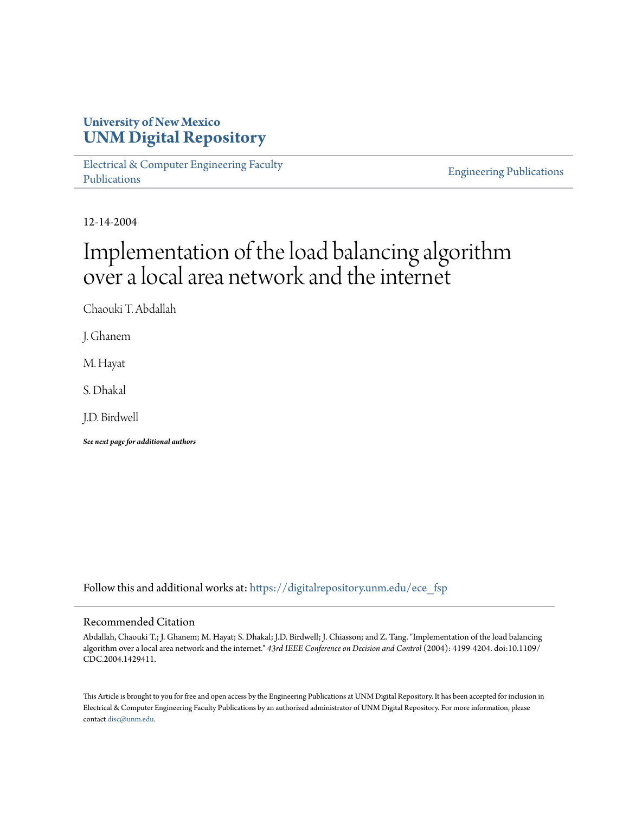# **University of New Mexico [UNM Digital Repository](https://digitalrepository.unm.edu?utm_source=digitalrepository.unm.edu%2Fece_fsp%2F209&utm_medium=PDF&utm_campaign=PDFCoverPages)**

[Electrical & Computer Engineering Faculty](https://digitalrepository.unm.edu/ece_fsp?utm_source=digitalrepository.unm.edu%2Fece_fsp%2F209&utm_medium=PDF&utm_campaign=PDFCoverPages) [Publications](https://digitalrepository.unm.edu/ece_fsp?utm_source=digitalrepository.unm.edu%2Fece_fsp%2F209&utm_medium=PDF&utm_campaign=PDFCoverPages)

[Engineering Publications](https://digitalrepository.unm.edu/eng_fsp?utm_source=digitalrepository.unm.edu%2Fece_fsp%2F209&utm_medium=PDF&utm_campaign=PDFCoverPages)

12-14-2004

# Implementation of the load balancing algorithm over a local area network and the internet

Chaouki T. Abdallah

J. Ghanem

M. Hayat

S. Dhakal

J.D. Birdwell

*See next page for additional authors*

Follow this and additional works at: [https://digitalrepository.unm.edu/ece\\_fsp](https://digitalrepository.unm.edu/ece_fsp?utm_source=digitalrepository.unm.edu%2Fece_fsp%2F209&utm_medium=PDF&utm_campaign=PDFCoverPages)

## Recommended Citation

Abdallah, Chaouki T.; J. Ghanem; M. Hayat; S. Dhakal; J.D. Birdwell; J. Chiasson; and Z. Tang. "Implementation of the load balancing algorithm over a local area network and the internet." *43rd IEEE Conference on Decision and Control* (2004): 4199-4204. doi:10.1109/ CDC.2004.1429411.

This Article is brought to you for free and open access by the Engineering Publications at UNM Digital Repository. It has been accepted for inclusion in Electrical & Computer Engineering Faculty Publications by an authorized administrator of UNM Digital Repository. For more information, please contact [disc@unm.edu.](mailto:disc@unm.edu)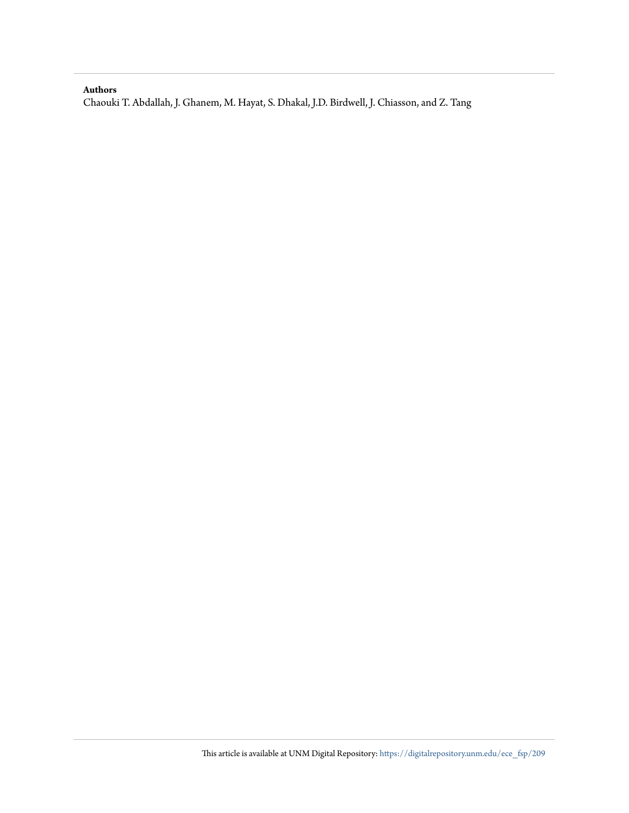### **Authors**

Chaouki T. Abdallah, J. Ghanem, M. Hayat, S. Dhakal, J.D. Birdwell, J. Chiasson, and Z. Tang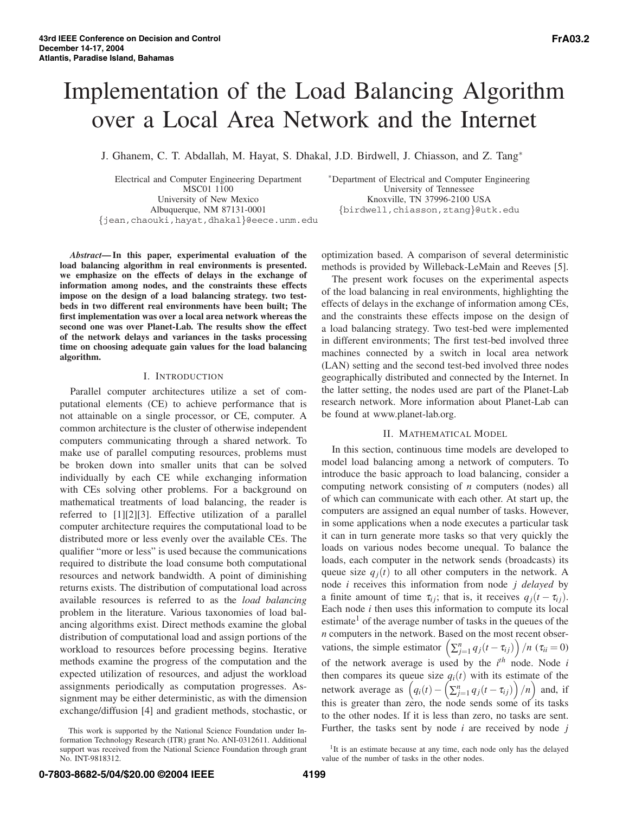# Implementation of the Load Balancing Algorithm over a Local Area Network and the Internet

J. Ghanem, C. T. Abdallah, M. Hayat, S. Dhakal, J.D. Birdwell, J. Chiasson, and Z. Tang<sup>∗</sup>

{jean,chaouki,hayat,dhakal}@eece.unm.edu

*Abstract***— In this paper, experimental evaluation of the load balancing algorithm in real environments is presented. we emphasize on the effects of delays in the exchange of information among nodes, and the constraints these effects impose on the design of a load balancing strategy. two testbeds in two different real environments have been built; The first implementation was over a local area network whereas the second one was over Planet-Lab. The results show the effect of the network delays and variances in the tasks processing time on choosing adequate gain values for the load balancing algorithm.**

#### I. INTRODUCTION

Parallel computer architectures utilize a set of computational elements (CE) to achieve performance that is not attainable on a single processor, or CE, computer. A common architecture is the cluster of otherwise independent computers communicating through a shared network. To make use of parallel computing resources, problems must be broken down into smaller units that can be solved individually by each CE while exchanging information with CEs solving other problems. For a background on mathematical treatments of load balancing, the reader is referred to [1][2][3]. Effective utilization of a parallel computer architecture requires the computational load to be distributed more or less evenly over the available CEs. The qualifier "more or less" is used because the communications required to distribute the load consume both computational resources and network bandwidth. A point of diminishing returns exists. The distribution of computational load across available resources is referred to as the *load balancing* problem in the literature. Various taxonomies of load balancing algorithms exist. Direct methods examine the global distribution of computational load and assign portions of the workload to resources before processing begins. Iterative methods examine the progress of the computation and the expected utilization of resources, and adjust the workload assignments periodically as computation progresses. Assignment may be either deterministic, as with the dimension exchange/diffusion [4] and gradient methods, stochastic, or

Electrical and Computer Engineering Department <sup>∗</sup>Department of Electrical and Computer Engineering MSC01 1100 University of Tennessee University of New Mexico Knoxville, TN 37996-2100 USA Albuquerque, NM 87131-0001 {birdwell, chiasson, ztang}@utk.edu

> optimization based. A comparison of several deterministic methods is provided by Willeback-LeMain and Reeves [5].

> The present work focuses on the experimental aspects of the load balancing in real environments, highlighting the effects of delays in the exchange of information among CEs, and the constraints these effects impose on the design of a load balancing strategy. Two test-bed were implemented in different environments; The first test-bed involved three machines connected by a switch in local area network (LAN) setting and the second test-bed involved three nodes geographically distributed and connected by the Internet. In the latter setting, the nodes used are part of the Planet-Lab research network. More information about Planet-Lab can be found at www.planet-lab.org.

#### II. MATHEMATICAL MODEL

In this section, continuous time models are developed to model load balancing among a network of computers. To introduce the basic approach to load balancing, consider a computing network consisting of *n* computers (nodes) all of which can communicate with each other. At start up, the computers are assigned an equal number of tasks. However, in some applications when a node executes a particular task it can in turn generate more tasks so that very quickly the loads on various nodes become unequal. To balance the loads, each computer in the network sends (broadcasts) its queue size  $q_i(t)$  to all other computers in the network. A node *i* receives this information from node *j delayed* by a finite amount of time  $\tau_{ij}$ ; that is, it receives  $q_j(t - \tau_{ij})$ . Each node *i* then uses this information to compute its local estimate<sup>1</sup> of the average number of tasks in the queues of the *n* computers in the network. Based on the most recent observations, the simple estimator  $\left(\sum_{j=1}^{n} q_j(t-\tau_{ij})\right) / n$  ( $\tau_{ii} = 0$ ) of the network average is used by the *i th* node. Node *i* then compares its queue size  $q_i(t)$  with its estimate of the network average as  $(q_i(t) - (\sum_{j=1}^n q_j(t - \tau_{ij}))/n)$  and, if this is greater than zero, the node sends some of its tasks to the other nodes. If it is less than zero, no tasks are sent. Further, the tasks sent by node *i* are received by node *j*

This work is supported by the National Science Foundation under Information Technology Research (ITR) grant No. ANI-0312611. Additional support was received from the National Science Foundation through grant No. INT-9818312.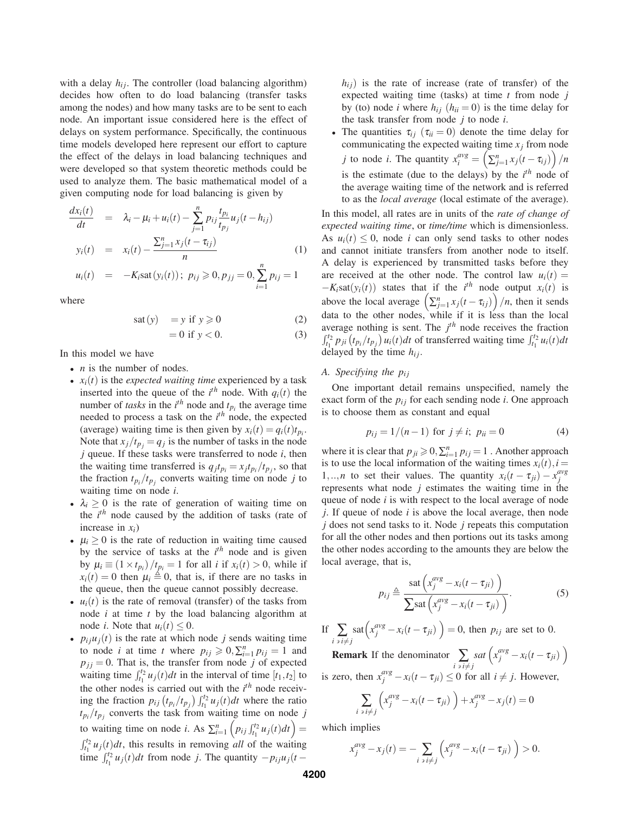with a delay  $h_{ij}$ . The controller (load balancing algorithm) decides how often to do load balancing (transfer tasks among the nodes) and how many tasks are to be sent to each node. An important issue considered here is the effect of delays on system performance. Specifically, the continuous time models developed here represent our effort to capture the effect of the delays in load balancing techniques and were developed so that system theoretic methods could be used to analyze them. The basic mathematical model of a given computing node for load balancing is given by

$$
\frac{dx_i(t)}{dt} = \lambda_i - \mu_i + u_i(t) - \sum_{j=1}^n p_{ij} \frac{t_{p_i}}{t_{p_j}} u_j(t - h_{ij})
$$
\n
$$
y_i(t) = x_i(t) - \frac{\sum_{j=1}^n x_j(t - \tau_{ij})}{n}
$$
\n(1)

$$
u_i(t)
$$
 =  $-K_i \text{sat}(y_i(t)); p_{ij} \ge 0, p_{jj} = 0, \sum_{i=1}^{n} p_{ij} = 1$ 

where

$$
sat(y) = y \text{ if } y \geqslant 0 \tag{2}
$$

$$
= 0 \text{ if } y < 0. \tag{3}
$$

In this model we have

- *n* is the number of nodes.
- $x_i(t)$  is the *expected waiting time* experienced by a task inserted into the queue of the  $i^{th}$  node. With  $q_i(t)$  the number of *tasks* in the  $i^{th}$  node and  $t_{p_i}$  the average time needed to process a task on the *i th* node, the expected (average) waiting time is then given by  $x_i(t) = q_i(t)t_{p_i}$ . Note that  $x_j/t_{p_j} = q_j$  is the number of tasks in the node *j* queue. If these tasks were transferred to node *i*, then the waiting time transferred is  $q_j t_{p_i} = x_j t_{p_i} / t_{p_j}$ , so that the fraction  $t_{p_i}/t_{p_j}$  converts waiting time on node *j* to waiting time on node *i*.
- $\lambda_i \geq 0$  is the rate of generation of waiting time on the *i th* node caused by the addition of tasks (rate of increase in *xi*)
- $\mu_i \geq 0$  is the rate of reduction in waiting time caused by the service of tasks at the  $i<sup>th</sup>$  node and is given by  $\mu_i \equiv (1 \times t_{p_i})/t_{p_i} = 1$  for all *i* if  $x_i(t) > 0$ , while if  $x_i(t) = 0$  then  $\mu_i \triangleq 0$ , that is, if there are no tasks in the queue, then the queue cannot possibly decrease.
- $u_i(t)$  is the rate of removal (transfer) of the tasks from node *i* at time *t* by the load balancing algorithm at node *i*. Note that  $u_i(t) \leq 0$ .
- $p_{ij}u_j(t)$  is the rate at which node *j* sends waiting time to node *i* at time *t* where  $p_{ij} \ge 0$ ,  $\sum_{i=1}^{n} p_{ij} = 1$  and  $p_{jj} = 0$ . That is, the transfer from node *j* of expected waiting time  $\int_{t_1}^{t_2} u_j(t) dt$  in the interval of time  $[t_1, t_2]$  to the other nodes is carried out with the *i th* node receiving the fraction  $p_{ij} (t_{p_i}/t_{p_j}) \int_{t_1}^{t_2} u_j(t) dt$  where the ratio  $t_{p_i}/t_{p_j}$  converts the task from waiting time on node *j* to waiting time on node *i*. As  $\sum_{i=1}^{n} (p_{ij} \int_{t_1}^{t_2} u_j(t) dt) =$  $\int_{t_1}^{t_2} u_j(t) dt$ , this results in removing *all* of the waiting time  $\int_{t_1}^{t_2} u_j(t) dt$  from node *j*. The quantity  $-p_{ij} u_j(t-$

 $h_{ij}$ ) is the rate of increase (rate of transfer) of the expected waiting time (tasks) at time *t* from node *j* by (to) node *i* where  $h_{ij}$  ( $h_{ii} = 0$ ) is the time delay for the task transfer from node *j* to node *i*.

• The quantities  $\tau_{ij}$  ( $\tau_{ii} = 0$ ) denote the time delay for communicating the expected waiting time  $x_j$  from node *j* to node *i*. The quantity  $x_i^{avg} = \left(\sum_{j=1}^n x_j(t - \tau_{ij})\right) / n$ is the estimate (due to the delays) by the  $i^{th}$  node of the average waiting time of the network and is referred to as the *local average* (local estimate of the average).

In this model, all rates are in units of the *rate of change of expected waiting time*, or *time/time* which is dimensionless. As  $u_i(t) \leq 0$ , node *i* can only send tasks to other nodes and cannot initiate transfers from another node to itself. A delay is experienced by transmitted tasks before they are received at the other node. The control law  $u_i(t) =$  $-K_i$ sat $(y_i(t))$  states that if the *i<sup>th</sup>* node output  $x_i(t)$  is above the local average  $\left(\sum_{j=1}^n x_j(t-\tau_{ij})\right)/n$ , then it sends data to the other nodes, while if it is less than the local average nothing is sent. The *j th* node receives the fraction  $\int_{t_1}^{t_2} p_{ji} \left(t_{p_i}/t_{p_j}\right) u_i(t) dt$  of transferred waiting time  $\int_{t_1}^{t_2} u_i(t) dt$ delayed by the time  $h_{ij}$ .

### *A. Specifying the pi j*

One important detail remains unspecified, namely the exact form of the  $p_{ij}$  for each sending node *i*. One approach is to choose them as constant and equal

$$
p_{ij} = 1/(n-1)
$$
 for  $j \neq i$ ;  $p_{ii} = 0$  (4)

where it is clear that  $p_{ji} \geqslant 0$ ,  $\sum_{i=1}^{n} p_{ij} = 1$ . Another approach is to use the local information of the waiting times  $x_i(t)$ ,  $i =$ 1,..,*n* to set their values. The quantity  $x_i(t - \tau_{ji}) - x_j^{avg}$ represents what node  $j$  estimates the waiting time in the queue of node *i* is with respect to the local average of node *j*. If queue of node *i* is above the local average, then node *j* does not send tasks to it. Node *j* repeats this computation for all the other nodes and then portions out its tasks among the other nodes according to the amounts they are below the local average, that is,

$$
p_{ij} \triangleq \frac{\text{sat}\left(x_j^{avg} - x_i(t - \tau_{ji})\right)}{\sum \text{sat}\left(x_j^{avg} - x_i(t - \tau_{ji})\right)}.
$$
 (5)

If 
$$
\sum_{i \text{ is } i \neq j} \text{sat}\Big(x_j^{avg} - x_i(t - \tau_{ji})\Big) = 0
$$
, then  $p_{ij}$  are set to 0.

**Remark** If the denominator  $\sum_{i \ni i \neq j}$  $s$ *at*  $\left(x_j^{avg} - x_i(t - \tau_{ji})\right)$ is zero, then  $x_j^{avg} - x_i(t - \tau_{ji}) \leq 0$  for all  $i \neq j$ . However,

$$
\sum_{j \, i \neq j} \left( x_j^{avg} - x_i(t - \tau_{ji}) \right) + x_j^{avg} - x_j(t) = 0
$$

which implies

 $\frac{1}{i}$ 

$$
x_j^{avg} - x_j(t) = -\sum_{i \; j \neq j} \left( x_j^{avg} - x_i(t - \tau_{ji}) \right) > 0.
$$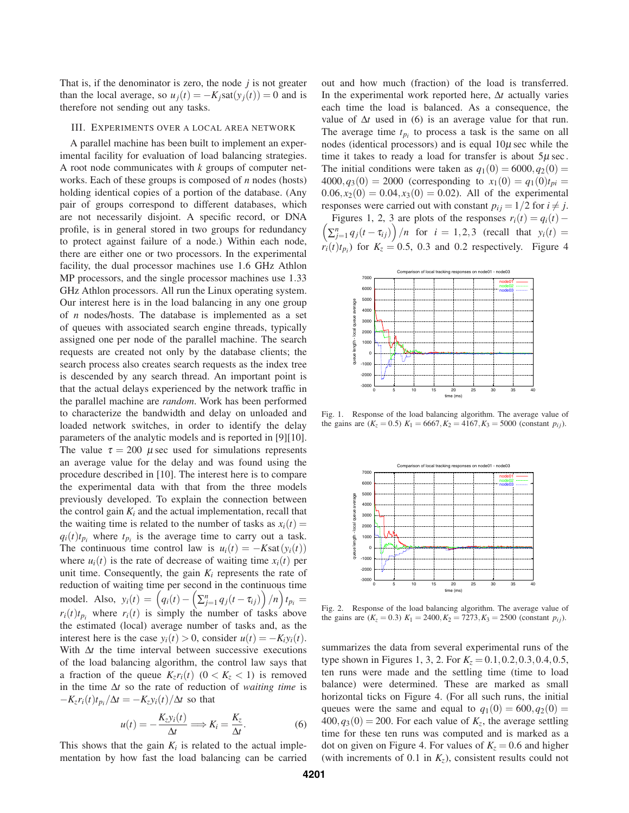That is, if the denominator is zero, the node *j* is not greater than the local average, so  $u_i(t) = -K_i$ sat $(y_i(t)) = 0$  and is therefore not sending out any tasks.

#### III. EXPERIMENTS OVER A LOCAL AREA NETWORK

A parallel machine has been built to implement an experimental facility for evaluation of load balancing strategies. A root node communicates with *k* groups of computer networks. Each of these groups is composed of *n* nodes (hosts) holding identical copies of a portion of the database. (Any pair of groups correspond to different databases, which are not necessarily disjoint. A specific record, or DNA profile, is in general stored in two groups for redundancy to protect against failure of a node.) Within each node, there are either one or two processors. In the experimental facility, the dual processor machines use 1.6 GHz Athlon MP processors, and the single processor machines use 1.33 GHz Athlon processors. All run the Linux operating system. Our interest here is in the load balancing in any one group of *n* nodes/hosts. The database is implemented as a set of queues with associated search engine threads, typically assigned one per node of the parallel machine. The search requests are created not only by the database clients; the search process also creates search requests as the index tree is descended by any search thread. An important point is that the actual delays experienced by the network traffic in the parallel machine are *random*. Work has been performed to characterize the bandwidth and delay on unloaded and loaded network switches, in order to identify the delay parameters of the analytic models and is reported in [9][10]. The value  $\tau = 200 \mu \text{ sec}$  used for simulations represents an average value for the delay and was found using the procedure described in [10]. The interest here is to compare the experimental data with that from the three models previously developed. To explain the connection between the control gain  $K_i$  and the actual implementation, recall that the waiting time is related to the number of tasks as  $x_i(t) =$  $q_i(t)t_{p_i}$  where  $t_{p_i}$  is the average time to carry out a task. The continuous time control law is  $u_i(t) = -K$ sat $(y_i(t))$ where  $u_i(t)$  is the rate of decrease of waiting time  $x_i(t)$  per unit time. Consequently, the gain  $K_i$  represents the rate of reduction of waiting time per second in the continuous time model. Also,  $y_i(t) = (q_i(t) - (\sum_{j=1}^n q_j(t - \tau_{ij})) / n) t_{p_i} =$  $r_i(t)t_p$ , where  $r_i(t)$  is simply the number of tasks above the estimated (local) average number of tasks and, as the interest here is the case  $y_i(t) > 0$ , consider  $u(t) = -K_i y_i(t)$ . With ∆*t* the time interval between successive executions of the load balancing algorithm, the control law says that a fraction of the queue  $K_z r_i(t)$  ( $0 < K_z < 1$ ) is removed in the time ∆*t* so the rate of reduction of *waiting time* is  $-K_zr_i(t)t_{p_i}/\Delta t = -K_zy_i(t)/\Delta t$  so that

$$
u(t) = -\frac{K_z y_i(t)}{\Delta t} \Longrightarrow K_i = \frac{K_z}{\Delta t}.
$$
 (6)

This shows that the gain  $K_i$  is related to the actual implementation by how fast the load balancing can be carried out and how much (fraction) of the load is transferred. In the experimental work reported here, ∆*t* actually varies each time the load is balanced. As a consequence, the value of ∆*t* used in (6) is an average value for that run. The average time  $t_{p_i}$  to process a task is the same on all nodes (identical processors) and is equal  $10\mu$  sec while the time it takes to ready a load for transfer is about  $5\mu$  sec. The initial conditions were taken as  $q_1(0) = 6000, q_2(0) =$  $4000, q_3(0) = 2000$  (corresponding to  $x_1(0) = q_1(0)t_{pi} =$  $0.06, x_2(0) = 0.04, x_3(0) = 0.02$ . All of the experimental responses were carried out with constant  $p_{ij} = 1/2$  for  $i \neq j$ .

 $\left(\sum_{j=1}^n q_j(t-\tau_{ij})\right)/n$  for  $i=1,2,3$  (recall that  $y_i(t) =$ Figures 1, 2, 3 are plots of the responses  $r_i(t) = q_i(t)$  –  $r_i(t)t_{p_i}$  for  $K_z = 0.5, 0.3$  and 0.2 respectively. Figure 4



Fig. 1. Response of the load balancing algorithm. The average value of the gains are  $(K_z = 0.5)$   $K_1 = 6667, K_2 = 4167, K_3 = 5000$  (constant  $p_{ij}$ ).



Fig. 2. Response of the load balancing algorithm. The average value of the gains are  $(K_z = 0.3)$   $K_1 = 2400, K_2 = 7273, K_3 = 2500$  (constant  $p_{ij}$ ).

summarizes the data from several experimental runs of the type shown in Figures 1, 3, 2. For  $K_z = 0.1, 0.2, 0.3, 0.4, 0.5$ , ten runs were made and the settling time (time to load balance) were determined. These are marked as small horizontal ticks on Figure 4. (For all such runs, the initial queues were the same and equal to  $q_1(0) = 600, q_2(0) =$  $400, q_3(0) = 200$ . For each value of  $K_z$ , the average settling time for these ten runs was computed and is marked as a dot on given on Figure 4. For values of  $K_z = 0.6$  and higher (with increments of 0.1 in  $K_z$ ), consistent results could not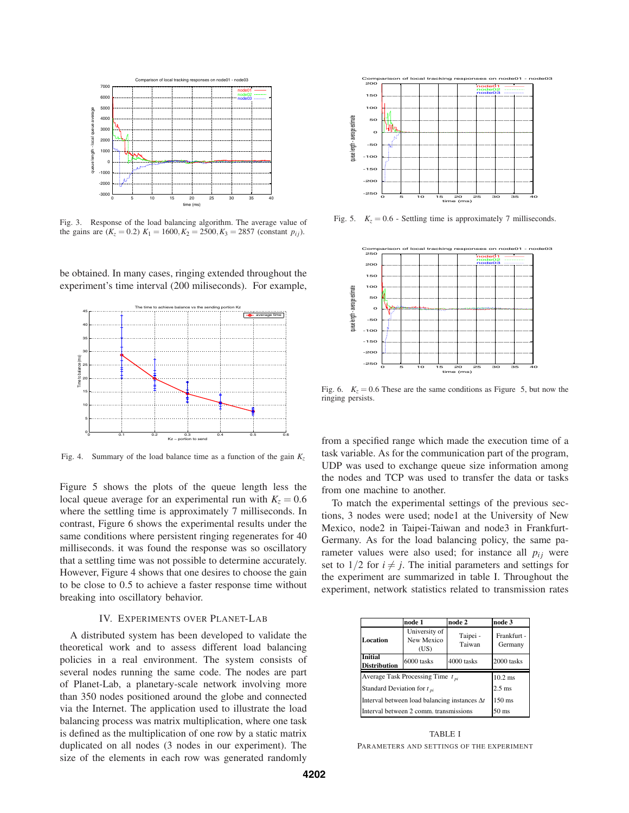

Fig. 3. Response of the load balancing algorithm. The average value of the gains are  $(K_z = 0.2)$   $K_1 = 1600, K_2 = 2500, K_3 = 2857$  (constant  $p_{ij}$ ).

be obtained. In many cases, ringing extended throughout the experiment's time interval (200 miliseconds). For example,



Fig. 4. Summary of the load balance time as a function of the gain  $K_z$ 

Figure 5 shows the plots of the queue length less the local queue average for an experimental run with  $K_z = 0.6$ where the settling time is approximately 7 milliseconds. In contrast, Figure 6 shows the experimental results under the same conditions where persistent ringing regenerates for 40 milliseconds. it was found the response was so oscillatory that a settling time was not possible to determine accurately. However, Figure 4 shows that one desires to choose the gain to be close to 0.5 to achieve a faster response time without breaking into oscillatory behavior.

#### IV. EXPERIMENTS OVER PLANET-LAB

A distributed system has been developed to validate the theoretical work and to assess different load balancing policies in a real environment. The system consists of several nodes running the same code. The nodes are part of Planet-Lab, a planetary-scale network involving more than 350 nodes positioned around the globe and connected via the Internet. The application used to illustrate the load balancing process was matrix multiplication, where one task is defined as the multiplication of one row by a static matrix duplicated on all nodes (3 nodes in our experiment). The size of the elements in each row was generated randomly



Fig. 5.  $K_z = 0.6$  - Settling time is approximately 7 milliseconds.



Fig. 6.  $K_z = 0.6$  These are the same conditions as Figure 5, but now the ringing persists.

from a specified range which made the execution time of a task variable. As for the communication part of the program, UDP was used to exchange queue size information among the nodes and TCP was used to transfer the data or tasks from one machine to another.

To match the experimental settings of the previous sections, 3 nodes were used; node1 at the University of New Mexico, node2 in Taipei-Taiwan and node3 in Frankfurt-Germany. As for the load balancing policy, the same parameter values were also used; for instance all  $p_{ij}$  were set to  $1/2$  for  $i \neq j$ . The initial parameters and settings for the experiment are summarized in table I. Throughout the experiment, network statistics related to transmission rates

|                                                      | node 1                              | node 2             | node 3                 |
|------------------------------------------------------|-------------------------------------|--------------------|------------------------|
| Location                                             | University of<br>New Mexico<br>(US) | Taipei -<br>Taiwan | Frankfurt -<br>Germany |
| <b>Initial</b><br><b>Distribution</b>                | 6000 tasks                          | 4000 tasks         | 2000 tasks             |
| Average Task Processing Time $t_{ni}$                | $10.2$ ms                           |                    |                        |
| Standard Deviation for $t_{pi}$                      | $2.5$ ms                            |                    |                        |
| Interval between load balancing instances $\Delta t$ | $150 \text{ ms}$                    |                    |                        |
| Interval between 2 comm. transmissions               | 50 <sub>ms</sub>                    |                    |                        |

TABLE I PARAMETERS AND SETTINGS OF THE EXPERIMENT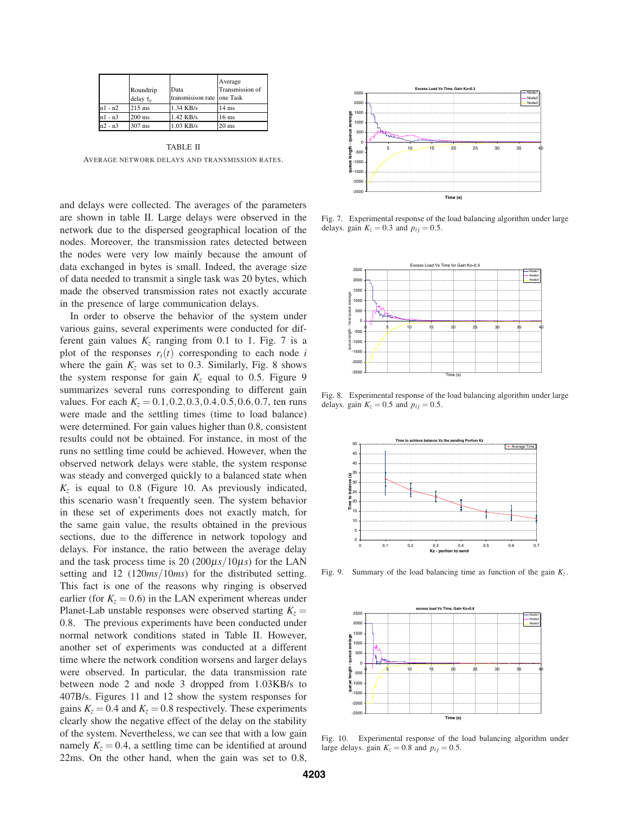|           | Roundtrip<br>delay $\tau_{ii}$ | Data<br>transmisison rate   one Task | Average<br>Transmission of |
|-----------|--------------------------------|--------------------------------------|----------------------------|
| $n1 - n2$ | $215$ ms                       | 1.34 KB/s                            | $14 \text{ ms}$            |
| $n1 - n3$ | $200$ ms                       | 1.42 KB/s                            | 16 ms                      |
| $n2 - n3$ | 307 ms                         | 1.03 KB/s                            | $20 \text{ ms}$            |

TABLE II AVERAGE NETWORK DELAYS AND TRANSMISSION RATES.

and delays were collected. The averages of the parameters are shown in table II. Large delays were observed in the network due to the dispersed geographical location of the nodes. Moreover, the transmission rates detected between the nodes were very low mainly because the amount of data exchanged in bytes is small. Indeed, the average size of data needed to transmit a single task was 20 bytes, which made the observed transmission rates not exactly accurate in the presence of large communication delays.

In order to observe the behavior of the system under various gains, several experiments were conducted for different gain values  $K_z$  ranging from 0.1 to 1. Fig. 7 is a plot of the responses  $r_i(t)$  corresponding to each node *i* where the gain  $K_z$  was set to 0.3. Similarly, Fig. 8 shows the system response for gain  $K_z$  equal to 0.5. Figure 9 summarizes several runs corresponding to different gain values. For each  $K_7 = 0.1, 0.2, 0.3, 0.4, 0.5, 0.6, 0.7$ , ten runs were made and the settling times (time to load balance) were determined. For gain values higher than 0.8, consistent results could not be obtained. For instance, in most of the runs no settling time could be achieved. However, when the observed network delays were stable, the system response was steady and converged quickly to a balanced state when *Kz* is equal to 0.8 (Figure 10. As previously indicated, this scenario wasn't frequently seen. The system behavior in these set of experiments does not exactly match, for the same gain value, the results obtained in the previous sections, due to the difference in network topology and delays. For instance, the ratio between the average delay and the task process time is 20  $(200\mu s/10\mu s)$  for the LAN setting and 12 (120*ms*/10*ms*) for the distributed setting. This fact is one of the reasons why ringing is observed earlier (for  $K_z = 0.6$ ) in the LAN experiment whereas under Planet-Lab unstable responses were observed starting  $K_z$  = 0.8. The previous experiments have been conducted under normal network conditions stated in Table II. However, another set of experiments was conducted at a different time where the network condition worsens and larger delays were observed. In particular, the data transmission rate between node 2 and node 3 dropped from 1.03KB/s to 407B/s. Figures 11 and 12 show the system responses for gains  $K_z = 0.4$  and  $K_z = 0.8$  respectively. These experiments clearly show the negative effect of the delay on the stability of the system. Nevertheless, we can see that with a low gain namely  $K_z = 0.4$ , a settling time can be identified at around 22ms. On the other hand, when the gain was set to 0.8,



Fig. 7. Experimental response of the load balancing algorithm under large delays. gain  $K_z = 0.3$  and  $p_{ij} = 0.5$ .



Fig. 8. Experimental response of the load balancing algorithm under large delays. gain  $K_z = 0.5$  and  $p_{ij} = 0.5$ .



Fig. 9. Summary of the load balancing time as function of the gain  $K_z$ .



Fig. 10. Experimental response of the load balancing algorithm under large delays. gain  $K_z = 0.8$  and  $p_{ij} = 0.5$ .